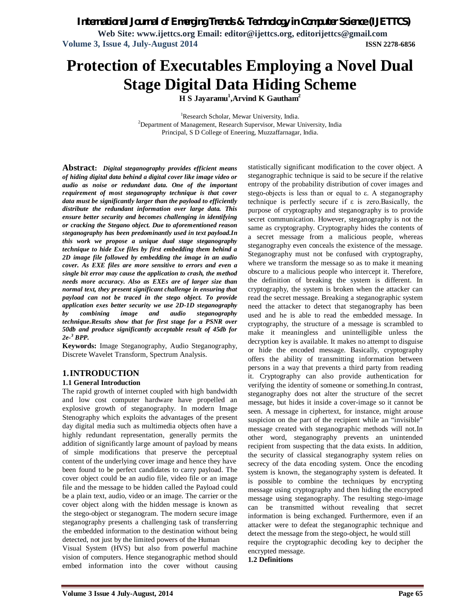**Web Site: www.ijettcs.org Email: editor@ijettcs.org, editorijettcs@gmail.com Volume 3, Issue 4, July-August 2014 ISSN 2278-6856**

# **Protection of Executables Employing a Novel Dual Stage Digital Data Hiding Scheme**

**H S Jayaramu<sup>1</sup> ,Arvind K Gautham<sup>2</sup>**

<sup>1</sup>Research Scholar, Mewar University, India. <sup>2</sup>Department of Management, Research Supervisor, Mewar University, India Principal, S D College of Eneering, Muzzaffarnagar, India.

**Abstract:** *Digital steganography provides efficient means of hiding digital data behind a digital cover like image video or audio as noise or redundant data. One of the important requirement of most steganography technique is that cover data must be significantly larger than the payload to efficiently distribute the redundant information over large data. This ensure better security and becomes challenging in identifying or cracking the Stegano object. Due to aforementioned reason steganography has been predominantly used in text payload.In this work we propose a unique dual stage steganography technique to hide Exe files by first embedding them behind a 2D image file followed by embedding the image in an audio cover. As EXE files are more sensitive to errors and even a single bit error may cause the application to crash, the method needs more accuracy. Also as EXEs are of larger size than normal text, they present significant challenge in ensuring that payload can not be traced in the stego object. To provide application exes better security we use 2D-1D steganography by combining image and audio steganography technique.Results show that for first stage for a PSNR over 50db and produce significantly acceptable result of 45db for 2e-<sup>3</sup> BPP.*

**Keywords:** Image Steganography, Audio Steganography, Discrete Wavelet Transform, Spectrum Analysis.

### **1.INTRODUCTION**

#### **1.1 General Introduction**

The rapid growth of internet coupled with high bandwidth and low cost computer hardware have propelled an explosive growth of steganography. In modern Image Stenography which exploits the advantages of the present day digital media such as multimedia objects often have a highly redundant representation, generally permits the addition of significantly large amount of payload by means of simple modifications that preserve the perceptual content of the underlying cover image and hence they have been found to be perfect candidates to carry payload. The cover object could be an audio file, video file or an image file and the message to be hidden called the Payload could be a plain text, audio, video or an image. The carrier or the cover object along with the hidden message is known as the stego-object or steganogram. The modern secure image steganography presents a challenging task of transferring the embedded information to the destination without being detected, not just by the limited powers of the Human

Visual System (HVS) but also from powerful machine vision of computers. Hence steganographic method should embed information into the cover without causing

statistically significant modification to the cover object. A steganographic technique is said to be secure if the relative entropy of the probability distribution of cover images and stego-objects is less than or equal to ε. A steganography technique is perfectly secure if ε is zero.Basically, the purpose of cryptography and steganography is to provide secret communication. However, steganography is not the same as cryptography. Cryptography hides the contents of a secret message from a malicious people, whereas steganography even conceals the existence of the message. Steganography must not be confused with cryptography, where we transform the message so as to make it meaning obscure to a malicious people who intercept it. Therefore, the definition of breaking the system is different. In cryptography, the system is broken when the attacker can read the secret message. Breaking a steganographic system need the attacker to detect that steganography has been used and he is able to read the embedded message. In cryptography, the structure of a message is scrambled to make it meaningless and unintelligible unless the decryption key is available. It makes no attempt to disguise or hide the encoded message. Basically, cryptography offers the ability of transmitting information between persons in a way that prevents a third party from reading it. Cryptography can also provide authentication for verifying the identity of someone or something.In contrast, steganography does not alter the structure of the secret message, but hides it inside a cover-image so it cannot be seen. A message in ciphertext, for instance, might arouse suspicion on the part of the recipient while an "invisible" message created with steganographic methods will not.In other word, steganography prevents an unintended recipient from suspecting that the data exists. In addition, the security of classical steganography system relies on secrecy of the data encoding system. Once the encoding system is known, the steganography system is defeated. It is possible to combine the techniques by encrypting message using cryptography and then hiding the encrypted message using steganography. The resulting stego-image can be transmitted without revealing that secret information is being exchanged. Furthermore, even if an attacker were to defeat the steganographic technique and detect the message from the stego-object, he would still

require the cryptographic decoding key to decipher the encrypted message.

**1.2 Definitions**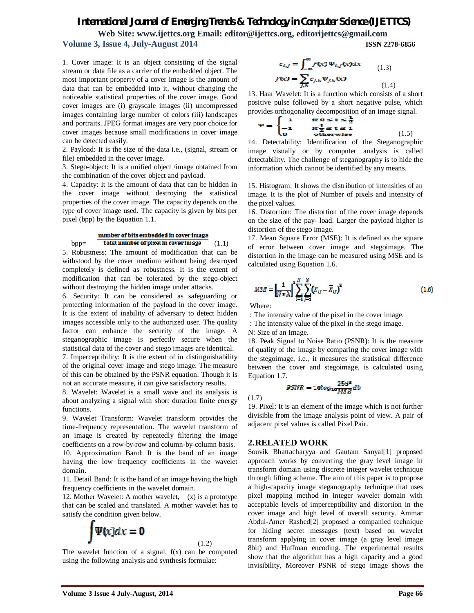**Web Site: www.ijettcs.org Email: editor@ijettcs.org, editorijettcs@gmail.com Volume 3, Issue 4, July-August 2014 ISSN 2278-6856**

1. Cover image: It is an object consisting of the signal stream or data file as a carrier of the embedded object. The most important property of a cover image is the amount of data that can be embedded into it, without changing the noticeable statistical properties of the cover image. Good cover images are (i) grayscale images (ii) uncompressed images containing large number of colors (iii) landscapes and portraits. JPEG format images are very poor choice for cover images because small modifications in cover image can be detected easily.

2. Payload: It is the size of the data i.e., (signal, stream or file) embedded in the cover image.

3. Stego-object: It is a unified object /image obtained from the combination of the cover object and payload.

4. Capacity: It is the amount of data that can be hidden in the cover image without destroying the statistical properties of the cover image. The capacity depends on the type of cover image used. The capacity is given by bits per pixel (bpp) by the Equation 1.1.

#### number of bits embedded in cover image bpp=  $\overline{\phantom{a} t$  otal number of pixel in cover image  $(1.1)$

5. Robustness: The amount of modification that can be withstood by the cover medium without being destroyed completely is defined as robustness. It is the extent of modification that can be tolerated by the stego-object without destroying the hidden image under attacks.

6. Security: It can be considered as safeguarding or protecting information of the payload in the cover image. It is the extent of inability of adversary to detect hidden images accessible only to the authorized user. The quality factor can enhance the security of the image. A steganographic image is perfectly secure when the statistical data of the cover and stego images are identical. 7. Imperceptibility: It is the extent of in distinguishability

of the original cover image and stego image. The measure of this can be obtained by the PSNR equation. Though it is not an accurate measure, it can give satisfactory results.

8. Wavelet: Wavelet is a small wave and its analysis is about analyzing a signal with short duration finite energy functions.

9. Wavelet Transform: Wavelet transform provides the time-frequency representation. The wavelet transform of an image is created by repeatedly filtering the image coefficients on a row-by-row and column-by-column basis. 10. Approximation Band: It is the band of an image having the low frequency coefficients in the wavelet domain.

11. Detail Band: It is the band of an image having the high frequency coefficients in the wavelet domain.

12. Mother Wavelet: A mother wavelet, (x) is a prototype that can be scaled and translated. A mother wavelet has to satisfy the condition given below.



The wavelet function of a signal,  $f(x)$  can be computed using the following analysis and synthesis formulae:

(1.2)

$$
c_{i,j} = \int_{-\infty}^{\infty} f(x) \Psi_{i,j}(x) dx
$$
  

$$
f(x) = \sum_{j,k} c_{j,k} \Psi_{j,k}(x)
$$
 (1.3)

13. Haar Wavelet: It is a function which consists of a short positive pulse followed by a short negative pulse, which provides orthogonality decomposition of an image signal.

$$
\Psi = \begin{cases} 1 & \text{if } 0 \le t \le \frac{1}{2} \\ -1 & \text{if } \frac{1}{2} \le t \le 1 \\ 0 & \text{otherwise} \end{cases} \tag{1.5}
$$

14. Detectability: Identification of the Steganographic image visually or by computer analysis is called detectability. The challenge of steganography is to hide the information which cannot be identified by any means.

15. Histogram: It shows the distribution of intensities of an image. It is the plot of Number of pixels and intensity of the pixel values.

16. Distortion: The distortion of the cover image depends on the size of the pay- load. Larger the payload higher is distortion of the stego image.

17. Mean Square Error (MSE): It is defined as the square of error between cover image and stegoimage. The distortion in the image can be measured using MSE and is calculated using Equation 1.6.

$$
MSE = \left| \frac{1}{N*N} \right|^2 \sum_{i=1}^N \sum_{j=1}^N (X_{ij} - \overline{X}_{ij})^2
$$
 (1.6)

Where:

: The intensity value of the pixel in the cover image.

: The intensity value of the pixel in the stego image.

N: Size of an Image.

18. Peak Signal to Noise Ratio (PSNR): It is the measure of quality of the image by comparing the cover image with the stegoimage, i.e., it measures the statistical difference between the cover and stegoimage, is calculated using Equation 1.7.

$$
PSNR = 10log_{10} \frac{255^2}{MSE} db
$$

(1.7)

19. Pixel: It is an element of the image which is not further divisible from the image analysis point of view. A pair of adjacent pixel values is called Pixel Pair.

# **2.RELATED WORK**

Souvik Bhattacharyya and Gautam Sanyal[1] proposed approach works by converting the gray level image in transform domain using discrete integer wavelet technique through lifting scheme. The aim of this paper is to propose a high-capacity image steganography technique that uses pixel mapping method in integer wavelet domain with acceptable levels of imperceptibility and distortion in the cover image and high level of overall security. Ammar Abdul-Amer Rashed[2] proposed a companied technique for hiding secret messages (text) based on wavelet transform applying in cover image (a gray level image 8bit) and Huffman encoding. The experimental results show that the algorithm has a high capacity and a good invisibility, Moreover PSNR of stego image shows the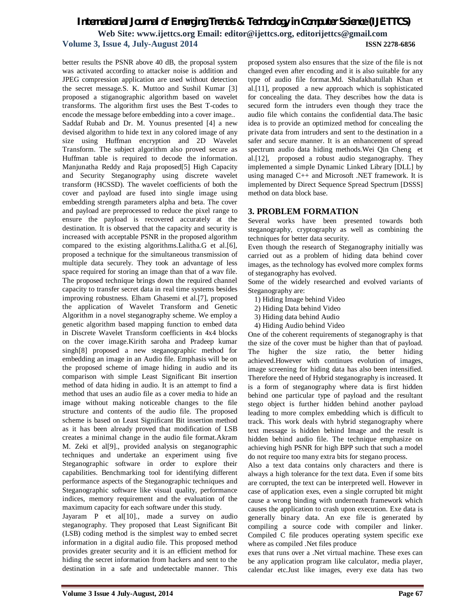# *International Journal of Emerging Trends & Technology in Computer Science (IJETTCS)* **Web Site: www.ijettcs.org Email: editor@ijettcs.org, editorijettcs@gmail.com Volume 3, Issue 4, July-August 2014 ISSN 2278-6856**

better results the PSNR above 40 dB, the proposal system was activated according to attacker noise is addition and JPEG compression application are used without detection the secret message.S. K. Muttoo and Sushil Kumar [3] proposed a stiganographic algorithm based on wavelet transforms. The algorithm first uses the Best T-codes to encode the message before embedding into a cover image.. Saddaf Rubab and Dr. M. Younus presented [4] a new devised algorithm to hide text in any colored image of any size using Huffman encryption and 2D Wavelet Transform. The subject algorithm also proved secure as Huffman table is required to decode the information. Manjunatha Reddy and Raja proposed[5] High Capacity and Security Steganography using discrete wavelet transform (HCSSD). The wavelet coefficients of both the cover and payload are fused into single image using embedding strength parameters alpha and beta. The cover and payload are preprocessed to reduce the pixel range to ensure the payload is recovered accurately at the destination. It is observed that the capacity and security is increased with acceptable PSNR in the proposed algorithm compared to the existing algorithms.Lalitha.G et al.[6], proposed a technique for the simultaneous transmission of multiple data securely. They took an advantage of less space required for storing an image than that of a wav file. The proposed technique brings down the required channel capacity to transfer secret data in real time systems besides improving robustness. Elham Ghasemi et al.[7], proposed the application of Wavelet Transform and Genetic Algorithm in a novel steganography scheme. We employ a genetic algorithm based mapping function to embed data in Discrete Wavelet Transform coefficients in 4x4 blocks on the cover image.Kirith saroha and Pradeep kumar singh[8] proposed a new steganographic method for embedding an image in an Audio file. Emphasis will be on the proposed scheme of image hiding in audio and its comparison with simple Least Significant Bit insertion method of data hiding in audio. It is an attempt to find a method that uses an audio file as a cover media to hide an image without making noticeable changes to the file structure and contents of the audio file. The proposed scheme is based on Least Significant Bit insertion method as it has been already proved that modification of LSB creates a minimal change in the audio file format.Akram M. Zeki et al[9]., provided analysis on steganographic techniques and undertake an experiment using five Steganographic software in order to explore their capabilities. Benchmarking tool for identifying different performance aspects of the Steganographic techniques and Steganographic software like visual quality, performance indices, memory requirement and the evaluation of the maximum capacity for each software under this study.

Jayaram P et al[10]., made a survey on audio steganography. They proposed that Least Significant Bit (LSB) coding method is the simplest way to embed secret information in a digital audio file. This proposed method provides greater security and it is an efficient method for hiding the secret information from hackers and sent to the destination in a safe and undetectable manner. This

proposed system also ensures that the size of the file is not changed even after encoding and it is also suitable for any type of audio file format.Md. Shafakhatullah Khan et al.[11], proposed a new approach which is sophisticated for concealing the data. They describes how the data is secured form the intruders even though they trace the audio file which contains the confidential data.The basic idea is to provide an optimized method for concealing the private data from intruders and sent to the destination in a safer and secure manner. It is an enhancement of spread spectrum audio data hiding methods.Wei Qin Cheng et al.[12], proposed a robust audio steganography. They implemented a simple Dynamic Linked Library [DLL] by using managed C++ and Microsoft .NET framework. It is implemented by Direct Sequence Spread Spectrum [DSSS] method on data block base.

## **3. PROBLEM FORMATION**

Several works have been presented towards both steganography, cryptography as well as combining the techniques for better data security.

Even though the research of Steganography initially was carried out as a problem of hiding data behind cover images, as the technology has evolved more complex forms of steganography has evolved.

Some of the widely researched and evolved variants of Steganography are:

- 1) Hiding Image behind Video
- 2) Hiding Data behind Video
- 3) Hiding data behind Audio
- 4) Hiding Audio behind Video

One of the coherent requirements of steganography is that the size of the cover must be higher than that of payload. The higher the size ratio, the better hiding achieved.However with continues evolution of images, image screening for hiding data has also been intensified. Therefore the need of Hybrid steganography is increased. It is a form of steganography where data is first hidden behind one particular type of payload and the resultant stego object is further hidden behind another payload leading to more complex embedding which is difficult to track. This work deals with hybrid steganography where text message is hidden behind Image and the result is hidden behind audio file. The technique emphasize on achieving high PSNR for high BPP such that such a model do not require too many extra bits for stegano process.

Also a text data contains only characters and there is always a high tolerance for the text data. Even if some bits are corrupted, the text can be interpreted well. However in case of application exes, even a single corrupted bit might cause a wrong binding with underneath framework which causes the application to crash upon execution. Exe data is generally binary data. An exe file is generated by compiling a source code with compiler and linker. Compiled C file produces operating system specific exe where as compiled .Net files produce

exes that runs over a .Net virtual machine. These exes can be any application program like calculator, media player, calendar etc.Just like images, every exe data has two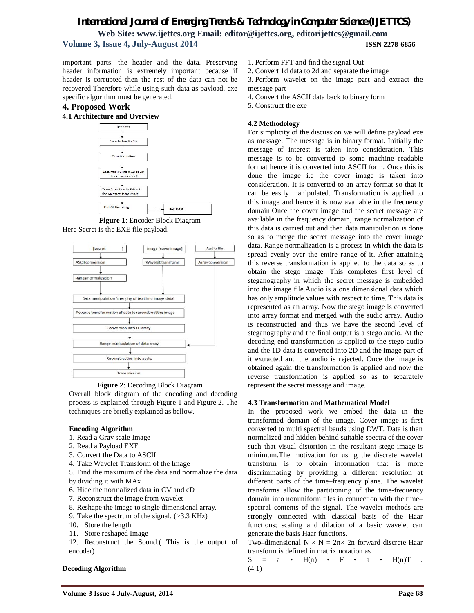**Web Site: www.ijettcs.org Email: editor@ijettcs.org, editorijettcs@gmail.com Volume 3, Issue 4, July-August 2014 ISSN 2278-6856**

important parts: the header and the data. Preserving header information is extremely important because if header is corrupted then the rest of the data can not be recovered.Therefore while using such data as payload, exe specific algorithm must be generated.

### **4. Proposed Work 4.1 Architecture and Overview**







**Figure 2**: Decoding Block Diagram

Overall block diagram of the encoding and decoding process is explained through Figure 1 and Figure 2. The techniques are briefly explained as bellow.

#### **Encoding Algorithm**

- 1. Read a Gray scale Image
- 2. Read a Payload EXE
- 3. Convert the Data to ASCII
- 4. Take Wavelet Transform of the Image
- 5. Find the maximum of the data and normalize the data by dividing it with MAx
- 6. Hide the normalized data in CV and cD
- 7. Reconstruct the image from wavelet
- 8. Reshape the image to single dimensional array.
- 9. Take the spectrum of the signal. (>3.3 KHz)
- 10. Store the length
- 11. Store reshaped Image

12. Reconstruct the Sound.( This is the output of encoder)

#### **Decoding Algorithm**

- 1. Perform FFT and find the signal Out
- 2. Convert 1d data to 2d and separate the image

3. Perform wavelet on the image part and extract the message part

- 4. Convert the ASCII data back to binary form
- 5. Construct the exe

#### **4.2 Methodology**

For simplicity of the discussion we will define payload exe as message. The message is in binary format. Initially the message of interest is taken into consideration. This message is to be converted to some machine readable format hence it is converted into ASCII form. Once this is done the image i.e the cover image is taken into consideration. It is converted to an array format so that it can be easily manipulated. Transformation is applied to this image and hence it is now available in the frequency domain.Once the cover image and the secret message are available in the frequency domain, range normalization of this data is carried out and then data manipulation is done so as to merge the secret message into the cover image data. Range normalization is a process in which the data is spread evenly over the entire range of it. After attaining this reverse transformation is applied to the data so as to obtain the stego image. This completes first level of steganography in which the secret message is embedded into the image file.Audio is a one dimensional data which has only amplitude values with respect to time. This data is represented as an array. Now the stego image is converted into array format and merged with the audio array. Audio is reconstructed and thus we have the second level of steganography and the final output is a stego audio. At the decoding end transformation is applied to the stego audio and the 1D data is converted into 2D and the image part of it extracted and the audio is rejected. Once the image is obtained again the transformation is applied and now the reverse transformation is applied so as to separately represent the secret message and image.

### **4.3 Transformation and Mathematical Model**

In the proposed work we embed the data in the transformed domain of the image. Cover image is first converted to multi spectral bands using DWT. Data is than normalized and hidden behind suitable spectra of the cover such that visual distortion in the resultant stego image is minimum.The motivation for using the discrete wavelet transform is to obtain information that is more discriminating by providing a different resolution at different parts of the time–frequency plane. The wavelet transforms allow the partitioning of the time-frequency domain into nonuniform tiles in connection with the time– spectral contents of the signal. The wavelet methods are strongly connected with classical basis of the Haar functions; scaling and dilation of a basic wavelet can generate the basis Haar functions.

Two–dimensional  $N \times N = 2n \times 2n$  forward discrete Haar transform is defined in matrix notation as

 $S = a \bullet H(n) \bullet F \bullet a \bullet H(n)T$ (4.1)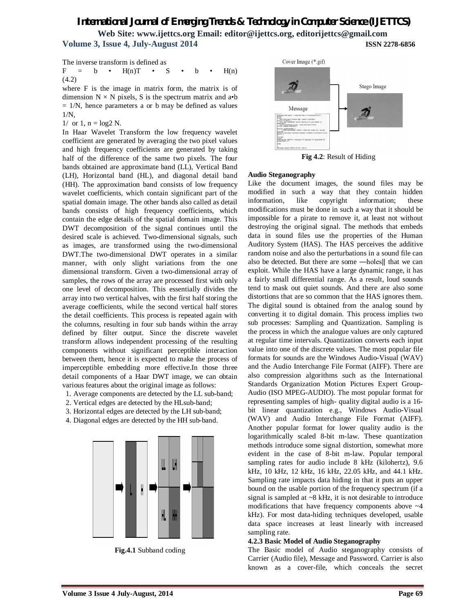**Web Site: www.ijettcs.org Email: editor@ijettcs.org, editorijettcs@gmail.com Volume 3, Issue 4, July-August 2014 ISSN 2278-6856**

The inverse transform is defined as

 $F = b \cdot H(n)T \cdot S \cdot b \cdot H(n)$ (4.2)

where F is the image in matrix form, the matrix is of dimension  $N \times N$  pixels, S is the spectrum matrix and a•b  $= 1/N$ , hence parameters a or b may be defined as values  $1/N$ .

1/ or 1,  $n = log2 N$ .

In Haar Wavelet Transform the low frequency wavelet coefficient are generated by averaging the two pixel values and high frequency coefficients are generated by taking half of the difference of the same two pixels. The four bands obtained are approximate band (LL), Vertical Band (LH), Horizontal band (HL), and diagonal detail band (HH). The approximation band consists of low frequency wavelet coefficients, which contain significant part of the spatial domain image. The other bands also called as detail bands consists of high frequency coefficients, which contain the edge details of the spatial domain image. This DWT decomposition of the signal continues until the desired scale is achieved. Two-dimensional signals, such as images, are transformed using the two-dimensional DWT.The two-dimensional DWT operates in a similar manner, with only slight variations from the one dimensional transform. Given a two-dimensional array of samples, the rows of the array are processed first with only one level of decomposition. This essentially divides the array into two vertical halves, with the first half storing the average coefficients, while the second vertical half stores the detail coefficients. This process is repeated again with the columns, resulting in four sub bands within the array defined by filter output. Since the discrete wavelet transform allows independent processing of the resulting components without significant perceptible interaction between them, hence it is expected to make the process of imperceptible embedding more effective.In those three detail components of a Haar DWT image, we can obtain various features about the original image as follows:

- 1. Average components are detected by the LL sub-band;
- 2. Vertical edges are detected by the HLsub-band;
- 3. Horizontal edges are detected by the LH sub-band;
- 4. Diagonal edges are detected by the HH sub-band.



**Fig.4.1** Subband coding



**Fig 4.2**: Result of Hiding

#### **Audio Steganography**

Like the document images, the sound files may be modified in such a way that they contain hidden information, like copyright information; these modifications must be done in such a way that it should be impossible for a pirate to remove it, at least not without destroying the original signal. The methods that embeds data in sound files use the properties of the Human Auditory System (HAS). The HAS perceives the additive random noise and also the perturbations in a sound file can also be detected. But there are some ―holes‖ that we can exploit. While the HAS have a large dynamic range, it has a fairly small differential range. As a result, loud sounds tend to mask out quiet sounds. And there are also some distortions that are so common that the HAS ignores them. The digital sound is obtained from the analog sound by converting it to digital domain. This process implies two sub processes: Sampling and Quantization. Sampling is the process in which the analogue values are only captured at regular time intervals. Quantization converts each input value into one of the discrete values. The most popular file formats for sounds are the Windows Audio-Visual (WAV) and the Audio Interchange File Format (AIFF). There are also compression algorithms such as the International Standards Organization Motion Pictures Expert Group-Audio (ISO MPEG-AUDIO). The most popular format for representing samples of high- quality digital audio is a 16 bit linear quantization e.g., Windows Audio-Visual (WAV) and Audio Interchange File Format (AIFF). Another popular format for lower quality audio is the logarithmically scaled 8-bit m-law. These quantization methods introduce some signal distortion, somewhat more evident in the case of 8-bit m-law. Popular temporal sampling rates for audio include 8 kHz (kilohertz), 9.6 kHz, 10 kHz, 12 kHz, 16 kHz, 22.05 kHz, and 44.1 kHz. Sampling rate impacts data hiding in that it puts an upper bound on the usable portion of the frequency spectrum (if a signal is sampled at ~8 kHz, it is not desirable to introduce modifications that have frequency components above  $~1$ kHz). For most data-hiding techniques developed, usable data space increases at least linearly with increased sampling rate.

#### **4.2.3 Basic Model of Audio Steganography**

The Basic model of Audio steganography consists of Carrier (Audio file), Message and Password. Carrier is also known as a cover-file, which conceals the secret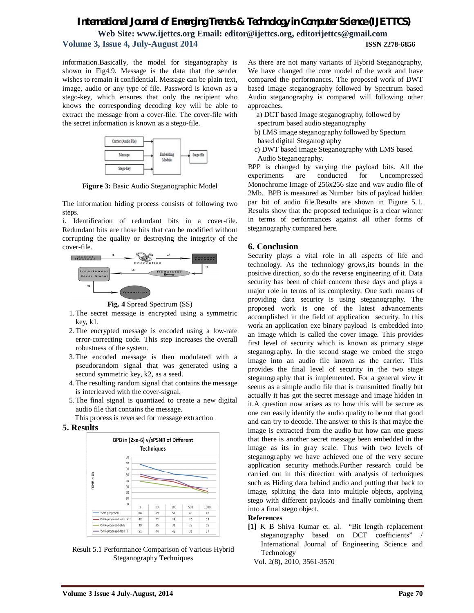**Web Site: www.ijettcs.org Email: editor@ijettcs.org, editorijettcs@gmail.com Volume 3, Issue 4, July-August 2014 ISSN 2278-6856**

information.Basically, the model for steganography is shown in Fig4.9. Message is the data that the sender wishes to remain it confidential. Message can be plain text, image, audio or any type of file. Password is known as a stego-key, which ensures that only the recipient who knows the corresponding decoding key will be able to extract the message from a cover-file. The cover-file with the secret information is known as a stego-file.



**Figure 3:** Basic Audio Steganographic Model

The information hiding process consists of following two steps.

i. Identification of redundant bits in a cover-file. Redundant bits are those bits that can be modified without corrupting the quality or destroying the integrity of the cover-file.



**Fig. 4** Spread Spectrum (SS)

- 1.The secret message is encrypted using a symmetric key, k1.
- 2.The encrypted message is encoded using a low-rate error-correcting code. This step increases the overall robustness of the system.
- 3.The encoded message is then modulated with a pseudorandom signal that was generated using a second symmetric key, k2, as a seed.
- 4.The resulting random signal that contains the message is interleaved with the cover-signal.
- 5.The final signal is quantized to create a new digital audio file that contains the message.

This process is reversed for message extraction

### **5. Results**



Result 5.1 Performance Comparison of Various Hybrid Steganography Techniques

As there are not many variants of Hybrid Steganography, We have changed the core model of the work and have compared the performances. The proposed work of DWT based image steganography followed by Spectrum based Audio steganography is compared will following other approaches.

- a) DCT based Image steganography, followed by spectrum based audio steganography
- b) LMS image steganography followed by Specturn
- based digital Steganography
- c) DWT based image Steganography with LMS based Audio Steganography.

BPP is changed by varying the payload bits. All the experiments are conducted for Uncompressed Monochrome Image of 256x256 size and wav audio file of 2Mb. BPB is measured as Number bits of payload hidden par bit of audio file.Results are shown in Figure 5.1. Results show that the proposed technique is a clear winner in terms of performances against all other forms of steganography compared here.

## **6. Conclusion**

Security plays a vital role in all aspects of life and technology. As the technology grows,its bounds in the positive direction, so do the reverse engineering of it. Data security has been of chief concern these days and plays a major role in terms of its complexity. One such means of providing data security is using steganography. The proposed work is one of the latest advancements accomplished in the field of application security. In this work an application exe binary payload is embedded into an image which is called the cover image. This provides first level of security which is known as primary stage steganography. In the second stage we embed the stego image into an audio file known as the carrier. This provides the final level of security in the two stage steganography that is implemented. For a general view it seems as a simple audio file that is transmitted finally but actually it has got the secret message and image hidden in it.A question now arises as to how this will be secure as one can easily identify the audio quality to be not that good and can try to decode. The answer to this is that maybe the image is extracted from the audio but how can one guess that there is another secret message been embedded in the image as its in gray scale. Thus with two levels of steganography we have achieved one of the very secure application security methods.Further research could be carried out in this direction with analysis of techniques such as Hiding data behind audio and putting that back to image, splitting the data into multiple objects, applying stego with different payloads and finally combining them into a final stego object.

### **References**

- **[1]** K B Shiva Kumar et. al. "Bit length replacement steganography based on DCT coefficients" / International Journal of Engineering Science and Technology
	- Vol. 2(8), 2010, 3561-3570